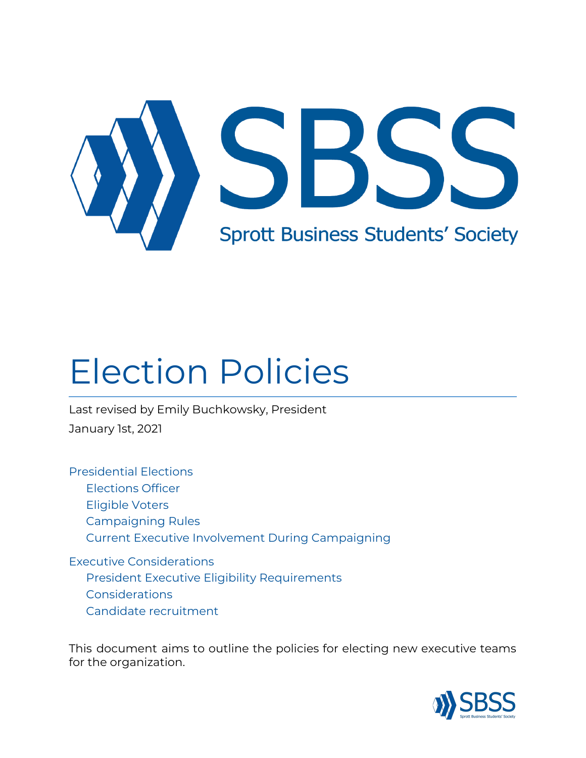

# Election Policies

Last revised by Emily Buchkowsky, President January 1st, 2021

[Presidential](#page-1-0) Elections [Elections](#page-1-1) Officer [Eligible](#page-1-2) Voters [Campaigning](#page-1-3) Rules Current Executive Involvement During [Campaigning](#page-2-0)

Executive [Considerations](#page-3-0) President Executive Eligibility [Requirements](#page-3-1) [Considerations](#page-3-2) Candidate [recruitment](#page-3-3)

This document aims to outline the policies for electing new executive teams for the organization.

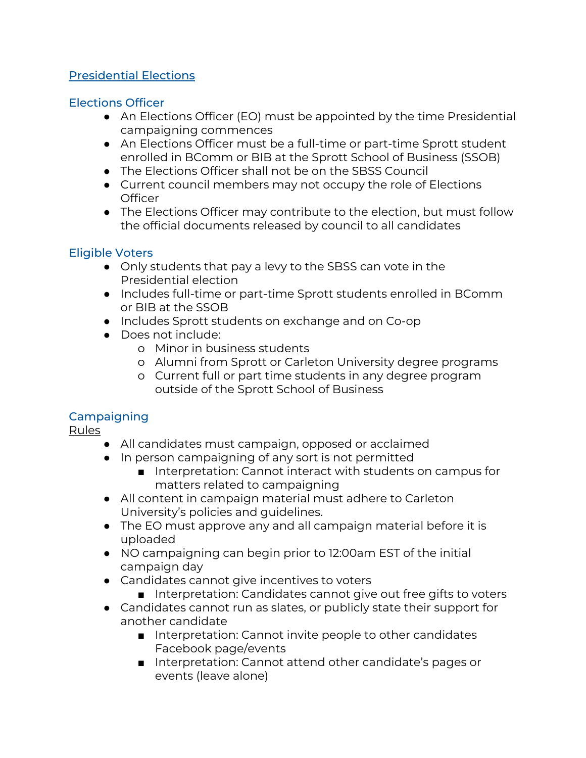### <span id="page-1-0"></span>Presidential Elections

### <span id="page-1-1"></span>Elections Officer

- An Elections Officer (EO) must be appointed by the time Presidential campaigning commences
- An Elections Officer must be a full-time or part-time Sprott student enrolled in BComm or BIB at the Sprott School of Business (SSOB)
- The Elections Officer shall not be on the SBSS Council
- Current council members may not occupy the role of Elections **Officer**
- The Elections Officer may contribute to the election, but must follow the official documents released by council to all candidates

### <span id="page-1-2"></span>Eligible Voters

- Only students that pay a levy to the SBSS can vote in the Presidential election
- Includes full-time or part-time Sprott students enrolled in BComm or BIB at the SSOB
- Includes Sprott students on exchange and on Co-op
- Does not include:
	- o Minor in business students
	- o Alumni from Sprott or Carleton University degree programs
	- o Current full or part time students in any degree program outside of the Sprott School of Business

## <span id="page-1-3"></span>**Campaigning**

Rules

- All candidates must campaign, opposed or acclaimed
- In person campaigning of any sort is not permitted
	- Interpretation: Cannot interact with students on campus for matters related to campaigning
- All content in campaign material must adhere to Carleton University's policies and guidelines.
- The EO must approve any and all campaign material before it is uploaded
- NO campaigning can begin prior to 12:00am EST of the initial campaign day
- Candidates cannot give incentives to voters
	- Interpretation: Candidates cannot give out free gifts to voters
- Candidates cannot run as slates, or publicly state their support for another candidate
	- Interpretation: Cannot invite people to other candidates Facebook page/events
	- Interpretation: Cannot attend other candidate's pages or events (leave alone)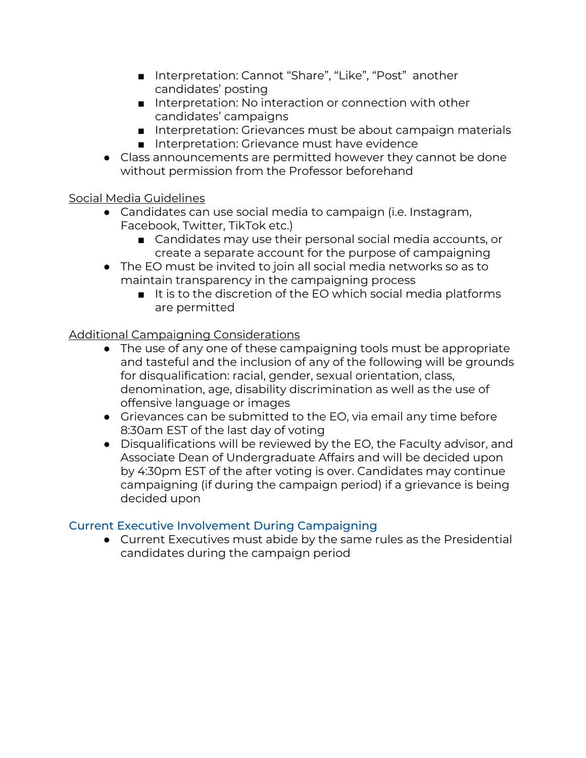- Interpretation: Cannot "Share", "Like", "Post" another candidates' posting
- Interpretation: No interaction or connection with other candidates' campaigns
- Interpretation: Grievances must be about campaign materials ■ Interpretation: Grievance must have evidence
- Class announcements are permitted however they cannot be done without permission from the Professor beforehand

## Social Media Guidelines

- Candidates can use social media to campaign (i.e. Instagram, Facebook, Twitter, TikTok etc.)
	- Candidates may use their personal social media accounts, or create a separate account for the purpose of campaigning
- The EO must be invited to join all social media networks so as to maintain transparency in the campaigning process
	- It is to the discretion of the EO which social media platforms are permitted

### Additional Campaigning Considerations

- The use of any one of these campaigning tools must be appropriate and tasteful and the inclusion of any of the following will be grounds for disqualification: racial, gender, sexual orientation, class, denomination, age, disability discrimination as well as the use of offensive language or images
- Grievances can be submitted to the EO, via email any time before 8:30am EST of the last day of voting
- Disqualifications will be reviewed by the EO, the Faculty advisor, and Associate Dean of Undergraduate Affairs and will be decided upon by 4:30pm EST of the after voting is over. Candidates may continue campaigning (if during the campaign period) if a grievance is being decided upon

#### <span id="page-2-0"></span>Current Executive Involvement During Campaigning

● Current Executives must abide by the same rules as the Presidential candidates during the campaign period